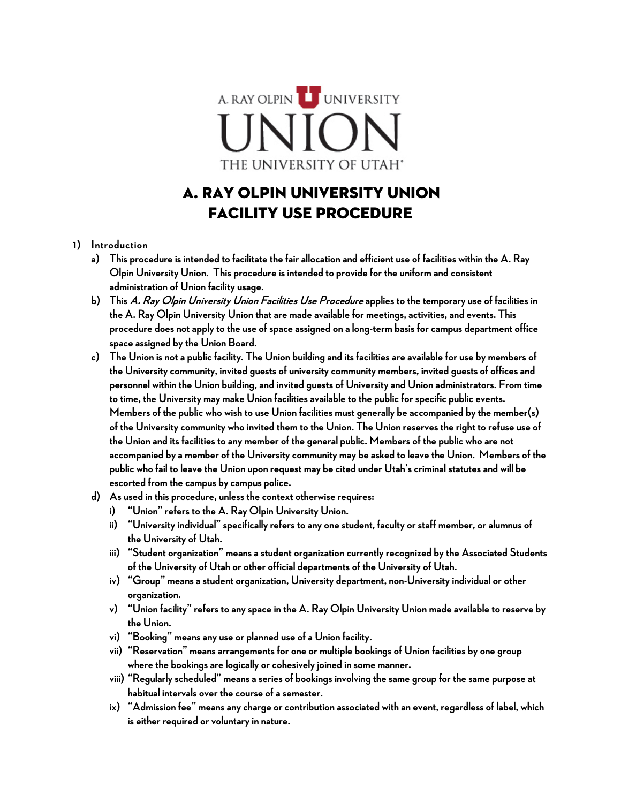A. RAY OLPIN UNIVERSITY THE UNIVERSITY OF UTAH'

# A. Ray Olpin University Union Facility Use Procedure

#### **1) Introduction**

- **a) This procedure is intended to facilitate the fair allocation and efficient use of facilities within the A. Ray Olpin University Union. This procedure is intended to provide for the uniform and consistent administration of Union facility usage.**
- **b) This A. Ray Olpin University Union Facilities Use Procedure applies to the temporary use of facilities in the A. Ray Olpin University Union that are made available for meetings, activities, and events. This procedure does not apply to the use of space assigned on a long-term basis for campus department office space assigned by the Union Board.**
- **c) The Union is not a public facility. The Union building and its facilities are available for use by members of the University community, invited guests of universitycommunity members, invited guests of offices and personnel within the Union building,and invited guests of University and Union administrators. From time to time, the University may make Union facilities available to the public for specific public events. Members of the public who wish to use Union facilities must generally be accompanied by the member(s) of the University community who invited them to the Union. The Union reserves the right to refuse use of the Union and its facilities to any member of the general public. Members of the public who are not accompanied by a member of the University community may be asked to leave the Union. Members of the public who fail to leave the Union upon request may be cited under Utah's criminal statutes and will be escorted from the campus by campus police.**
- **d) As used in this procedure, unless the context otherwise requires:** 
	- **i) "Union" refers to the A. Ray Olpin University Union.**
	- **ii) "University individual" specifically refers to any one student, faculty or staff member, or alumnus of the University of Utah.**
	- **iii) "Student organization" means a student organization currently recognized by the Associated Students of the University of Utah or other official departments of the University of Utah.**
	- **iv) "Group" means a student organization, University department, non-University individual or other organization.**
	- **v) "Union facility" refers to any space in the A. Ray Olpin University Union made available to reserve by the Union.**
	- **vi) "Booking" means any use or planned use of a Union facility.**
	- **vii) "Reservation" means arrangements for one or multiple bookings of Union facilities by one group where the bookings are logically or cohesively joined in some manner.**
	- **viii) "Regularly scheduled" means a series of bookings involving the same group for the same purpose at habitual intervals over the course of a semester.**
	- **ix) "Admission fee" means any charge or contribution associated with an event, regardless of label, which is either required or voluntary in nature.**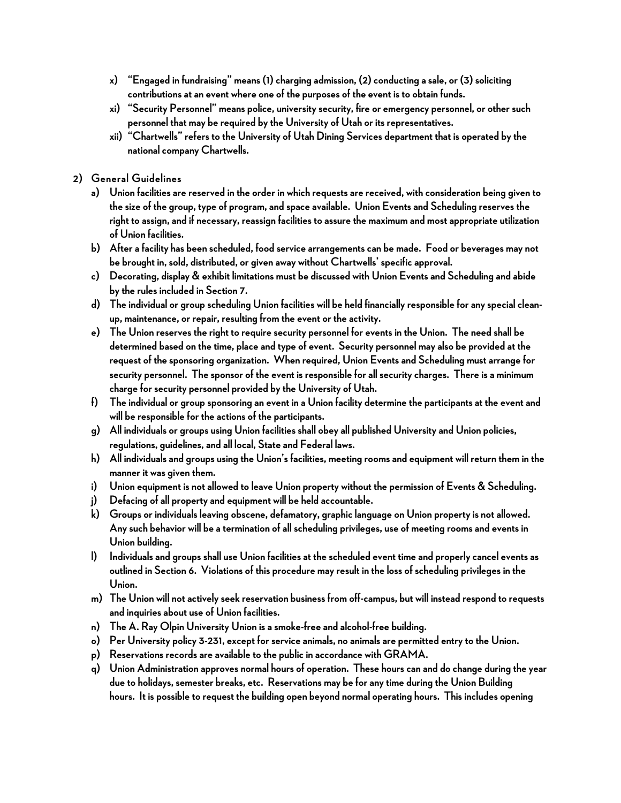- **x**) "Engaged in fundraising" means (1) charging admission, (2) conducting a sale, or (3) soliciting **contributions at an event where one of the purposes of the event is to obtain funds.**
- **xi) "Security Personnel" means police, university security, fire or emergency personnel, or other such personnel that may be required by the University of Utah or its representatives.**
- **xii) "Chartwells" refers to the University of Utah Dining Services department that is operated by the national company Chartwells.**
- **2) General Guidelines**
	- **a) Union facilities are reserved in the order in which requests are received, with consideration being given to the size of the group, type of program, and space available. Union Events and Scheduling reserves the right to assign, and if necessary, reassign facilities to assure the maximum and most appropriate utilization of Union facilities.**
	- **b) After a facility has been scheduled, food service arrangements can be made. Food or beverages may not be brought in, sold, distributed, or given away without Chartwells' specific approval.**
	- **c) Decorating, display & exhibit limitations must be discussed with Union Events and Scheduling and abide by the rules included in Section 7.**
	- **d) The individual or group scheduling Union facilities will be held financially responsible for any special cleanup, maintenance, or repair, resulting from the event or the activity.**
	- **e) The Union reserves the right to require security personnel for events in the Union. The need shall be determined based on the time, place and type of event. Security personnel may also be provided at the request of the sponsoring organization. When required, Union Events and Scheduling must arrange for security personnel. The sponsor of the event is responsible for all security charges. There is a minimum charge for security personnel provided by the University of Utah.**
	- **f) The individual or group sponsoring an event in a Union facility determine the participants at the event and will be responsible for the actions of the participants.**
	- **g) All individuals or groups using Union facilities shall obey all published University and Union policies, regulations, guidelines, and all local, State and Federal laws.**
	- **h) All individuals and groups using the Union's facilities, meeting rooms and equipment will return them in the manner it was given them.**
	- **i) Union equipment is not allowed to leave Union property without the permission of Events & Scheduling.**
	- **j) Defacing of all property and equipment will be held accountable.**
	- **k) Groups or individuals leaving obscene, defamatory, graphic language on Union property is not allowed. Any such behavior will be a termination of all scheduling privileges, use of meeting rooms and events in Union building.**
	- **l) Individuals and groups shall use Union facilities at the scheduled event time and properly cancel eventsas outlined in Section 6. Violations of this procedure may result in the loss of scheduling privileges in the Union.**
	- **m) The Union will not actively seek reservation business from off-campus, but will instead respond to requests and inquiries about use of Union facilities.**
	- **n) The A. Ray Olpin University Union is a smoke-free and alcohol-free building.**
	- **o) Per University policy 3-231, except for service animals, no animals are permitted entry to the Union.**
	- **p) Reservations records are available to the public in accordance with GRAMA.**
	- **q) Union Administration approves normal hours of operation. These hours can and do change during the year due to holidays, semester breaks, etc. Reservations may be for any time during the Union Building hours. It is possible to request the building open beyond normal operating hours. This includes opening**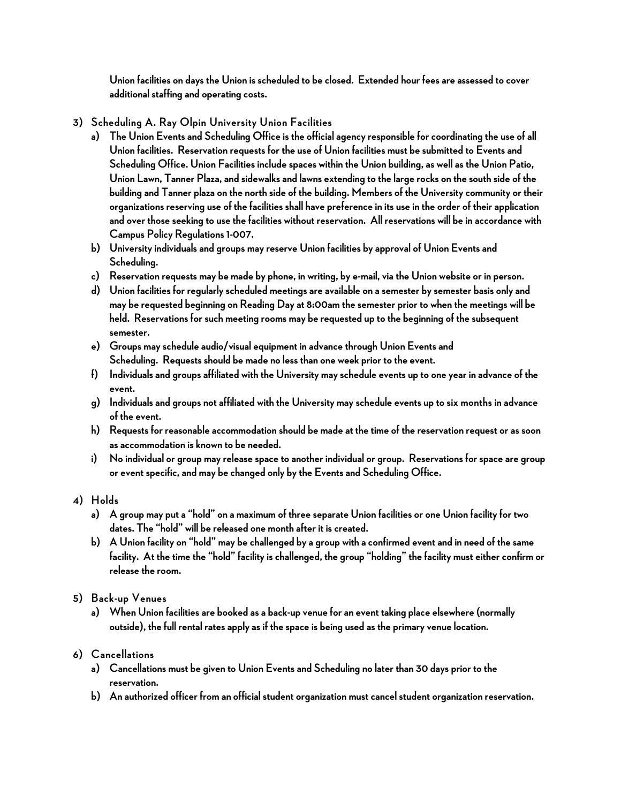**Union facilities on days the Union is scheduled to be closed. Extended hour fees are assessed to cover additional staffing and operating costs.**

- **3) Scheduling A. Ray Olpin University Union Facilities**
	- **a) The Union Events and Scheduling Office is the official agency responsible for coordinating the use of all Union facilities. Reservation requests for the use of Union facilities must be submitted to Events and**  Scheduling Office. Union Facilities include spaces within the Union building, as well as the Union Patio, **Union Lawn, Tanner Plaza, and sidewalks and lawns extending to the large rocks on the south side of the building and Tanner plaza on the north side of the building. Members of the University community or their organizations reserving use of the facilities shall have preference in its use in the order of their application and over those seeking to use the facilities without reservation. All reservations will be in accordance with Campus Policy Regulations 1-007.**
	- **b) University individuals and groups may reserve Union facilities by approval of Union Events and Scheduling.**
	- **c) Reservation requests may be made by phone, in writing, by e-mail, via the Union website or in person.**
	- **d) Union facilities for regularly scheduled meetings are available on a semester by semester basis only and may be requested beginning on Reading Day at 8:00am the semester prior to when the meetings will be held. Reservations for such meeting rooms may be requested up to the beginning of the subsequent semester.**
	- **e) Groups may schedule audio/visual equipment in advance through Union Events and Scheduling. Requests should be made no less than one week prior to the event.**
	- **f) Individuals and groups affiliated with the University may schedule events up to one year in advance of the event.**
	- **g) Individuals and groups not affiliated with the University may schedule events up to six months in advance of the event.**
	- **h) Requests for reasonable accommodation should be made at the time of the reservation request or as soon as accommodation is known to be needed.**
	- **i) No individual or group may release space to another individual or group. Reservations for space are group or event specific, and may be changed only by the Events and Scheduling Office.**

### **4) Holds**

- **a) A group may put a "hold" on a maximum of three separate Union facilities or one Union facility for two dates. The "hold" will be released one month after it is created.**
- **b) A Union facility on "hold" may be challenged by a group with a confirmed event and in need of the same facility. At the time the "hold" facility is challenged, the group "holding" the facility must either confirm or release the room.**
- **5) Back-up Venues**
	- **a) When Union facilities are booked as a back-up venue for an event taking place elsewhere (normally outside), the full rental rates applyas if the space is being used as the primary venue location.**

### **6) Cancellations**

- **a) Cancellations must be given to Union Events and Scheduling no later than 30 days prior to the reservation.**
- **b) An authorized officer from an official student organization must cancel student organization reservation.**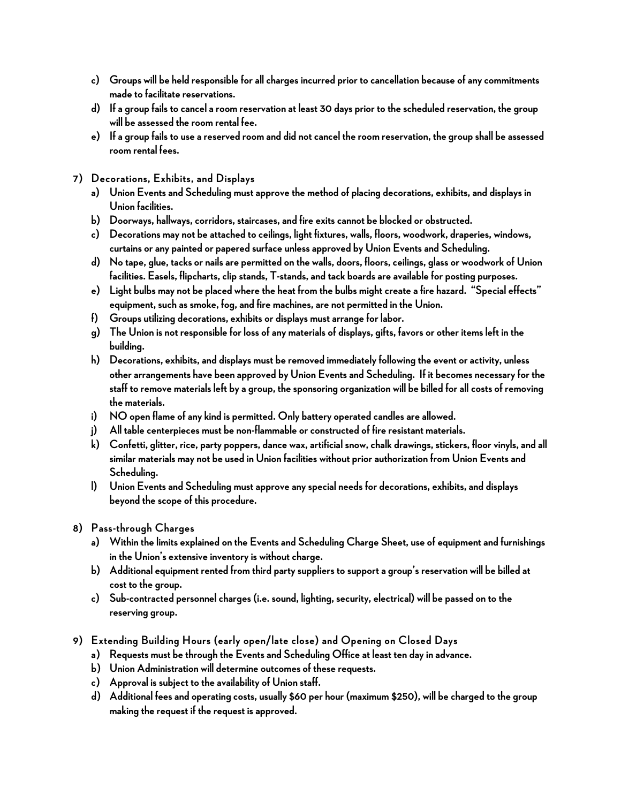- **c) Groups will be held responsible for all charges incurred prior to cancellation because of any commitments made to facilitate reservations.**
- **d) If a group fails to cancel a room reservation at least 30 days prior to the scheduled reservation, the group will be assessed the room rental fee.**
- **e) If a group fails to use a reserved room and did not cancel the room reservation, the group shall be assessed room rental fees.**
- **7) Decorations, Exhibits, and Displays**
	- **a) Union Events and Scheduling must approve the method of placing decorations, exhibits, and displays in Union facilities.**
	- **b) Doorways, hallways, corridors, staircases,and fire exits cannot be blocked or obstructed.**
	- **c) Decorations may not be attached to ceilings, light fixtures, walls, floors, woodwork, draperies, windows, curtains or any painted or papered surface unless approved by Union Events and Scheduling.**
	- **d) No tape, glue, tacks or nails are permitted on the walls, doors, floors, ceilings, glass or woodwork of Union facilities. Easels, flipcharts, clip stands, T-stands, and tack boards are available for posting purposes.**
	- **e) Light bulbs may not be placed where the heat from the bulbs might create a fire hazard. "Special effects" equipment, such as smoke, fog, and fire machines, are not permitted in the Union.**
	- **f) Groups utilizing decorations, exhibits or displays must arrange for labor.**
	- **g) The Union is not responsible for loss of any materials of displays, gifts, favors or other items left in the building.**
	- **h) Decorations, exhibits, and displays must be removed immediately following the event or activity, unless other arrangements have been approved by Union Events and Scheduling. If it becomes necessary for the staff to remove materials left by a group, the sponsoring organization will be billed for all costs of removing the materials.**
	- **i) NO open flame of any kind is permitted. Only battery operated candles are allowed.**
	- **j) All table centerpieces must be non-flammable or constructed of fire resistant materials.**
	- **k) Confetti, glitter, rice, party poppers, dance wax, artificial snow, chalk drawings, stickers, floor vinyls, and all similar materials may not be used in Union facilities without prior authorization from Union Events and Scheduling.**
	- **l) Union Events and Scheduling must approve any special needs for decorations, exhibits, and displays beyond the scope of this procedure.**
- **8) Pass-through Charges**
	- **a) Within the limits explained on the Events and Scheduling Charge Sheet, use of equipment and furnishings in the Union's extensive inventory is without charge.**
	- **b) Additional equipment rented from third party suppliers to support a group's reservation will be billed at cost to the group.**
	- **c) Sub-contracted personnel charges (i.e. sound, lighting, security, electrical) will be passed on to the reserving group.**
- **9) Extending Building Hours (early open/late close) and Opening on Closed Days**
	- **a) Requests must be through the Events and Scheduling Office at least ten day in advance.**
	- **b) Union Administration will determine outcomes of these requests.**
	- **c) Approval is subject to the availability of Union staff.**
	- **d) Additional fees and operating costs, usually \$60 per hour (maximum \$250), will be charged to the group making the request if the request is approved.**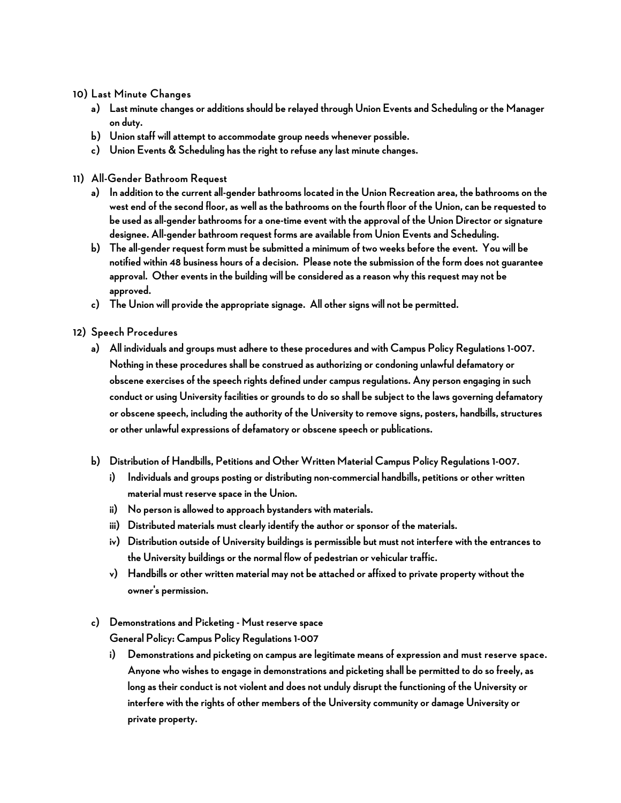**10) Last Minute Changes**

- **a) Last minute changes or additions should be relayed through Union Events and Scheduling or the Manager on duty.**
- **b) Union staff will attempt to accommodate group needs whenever possible.**
- **c) Union Events & Scheduling has the right to refuse any last minute changes.**
- **11) All-Gender Bathroom Request**
	- **a) In addition to the current all-gender bathrooms located in the Union Recreation area, the bathrooms on the west end of the second floor, as well as the bathrooms on the fourth floor of the Union,can be requested to be used asall-gender bathrooms for a one-time event with the approval of the Union Director or signature designee. All-gender bathroom request forms are available from Union Events and Scheduling.**
	- **b) The all-gender request form must be submitted a minimum of two weeks before the event. You will be notified within 48 business hours of a decision. Please note the submission of the form does not guarantee approval. Other events in the building will be considered as a reason why this request may not be approved.**
	- **c) The Union will provide the appropriate signage. All other signs will not be permitted.**

#### **12) Speech Procedures**

- **a) All individuals and groups must adhere to these proceduresand with Campus Policy Regulations 1-007. Nothing in these procedures shall be construed as authorizing or condoning unlawful defamatory or obscene exercises of the speech rights defined under campus regulations. Any person engaging in such conduct or using University facilities or grounds to do so shall be subject to the laws governing defamatory or obscene speech, including the authority of the University to remove signs, posters, handbills, structures or other unlawful expressions of defamatory or obscene speech or publications.**
- **b) Distribution of Handbills, Petitions and Other Written Material Campus Policy Regulations 1-007.** 
	- **i) Individuals and groups posting or distributing non-commercial handbills, petitions or other written material must reserve space in the Union.**
	- **ii) No person is allowed to approach bystanders with materials.**
	- **iii) Distributed materials must clearly identify the author or sponsor of the materials.**
	- **iv) Distribution outside of University buildings is permissible but must not interfere with the entrances to the University buildings or the normal flow of pedestrian or vehicular traffic.**
	- **v) Handbills or other written material may not be attached or affixed to private property without the owner's permission.**

## **c) Demonstrations and Picketing - Must reserve space**

**General Policy: Campus Policy Regulations 1-007** 

**i) Demonstrations and picketing on campus are legitimate means of expression and must reserve space. Anyone who wishes to engage in demonstrations and picketing shall be permitted to do so freely, as long as their conduct is not violent and does not unduly disrupt the functioning of the University or interfere with the rights of other members of the University community or damage University or private property.**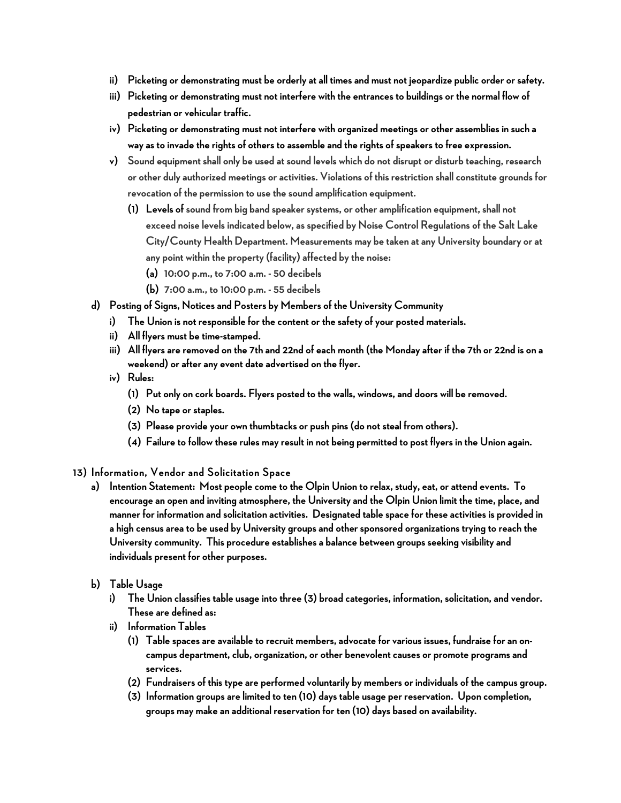- **ii) Picketing or demonstrating must be orderly at all times and must not jeopardize public order or safety.**
- **iii) Picketing or demonstrating must not interfere with the entrances to buildings or the normal flow of pedestrian or vehicular traffic.**
- **iv) Picketing or demonstrating must not interfere with organized meetings or other assemblies in such a way as to invade the rights of others to assemble and the rights of speakers to free expression.**
- **v) Sound equipment shall only be used at sound levels which do not disrupt or disturb teaching, research or other duly authorized meetings or activities. Violations of this restriction shall constitute grounds for revocation of the permission to use the sound amplification equipment.**
	- **(1) Levels of sound from big band speaker systems, or other amplification equipment, shall not exceed noise levels indicated below, as specified by Noise Control Regulations of the Salt Lake City/County Health Department. Measurements may be taken at any University boundary or at any point within the property (facility) affected by the noise:**
		- **(a) 10:00 p.m., to 7:00 a.m. - 50 decibels**
		- **(b) 7:00 a.m., to 10:00 p.m. - 55 decibels**
- **d) Posting of Signs, Notices and Posters by Members of the University Community** 
	- **i) The Union is not responsible for the content or the safety of your posted materials.**
	- **ii) All flyers must be time-stamped.**
	- **iii) All flyers are removed on the 7th and 22nd of each month (the Monday after if the 7th or 22nd is on a weekend) or after any event date advertised on the flyer.**
	- **iv) Rules:**
		- **(1) Put only on cork boards. Flyers posted to the walls, windows, and doors will be removed.**
		- **(2) No tape or staples.**
		- **(3) Please provide your own thumbtacks or push pins (do not steal from others).**
		- **(4) Failure to follow these rules may result in not being permitted to post flyers in the Union again.**
- **13) Information, Vendor and Solicitation Space**
	- **a) Intention Statement: Most people come to the Olpin Union to relax, study, eat, or attend events. To encourage an open and inviting atmosphere, the University and the Olpin Union limit the time, place, and manner for information and solicitation activities. Designated table space for these activities is provided in a high census area to be used by University groups and other sponsored organizations trying to reach the University community. This procedure establishes a balance between groups seeking visibility and individuals present for other purposes.**
	- **b) Table Usage**
		- **i) The Union classifies table usage into three (3) broad categories, information, solicitation,and vendor. These are defined as:**
		- **ii) Information Tables**
			- **(1) Table spaces are available to recruit members, advocate for various issues, fundraise for an oncampus department, club, organization, or other benevolent causes or promote programs and services.**
			- **(2) Fundraisers of this type are performed voluntarily by members or individuals of the campus group.**
			- **(3) Information groups are limited to ten (10) days table usage per reservation. Upon completion, groups may make an additional reservation for ten (10) days based on availability.**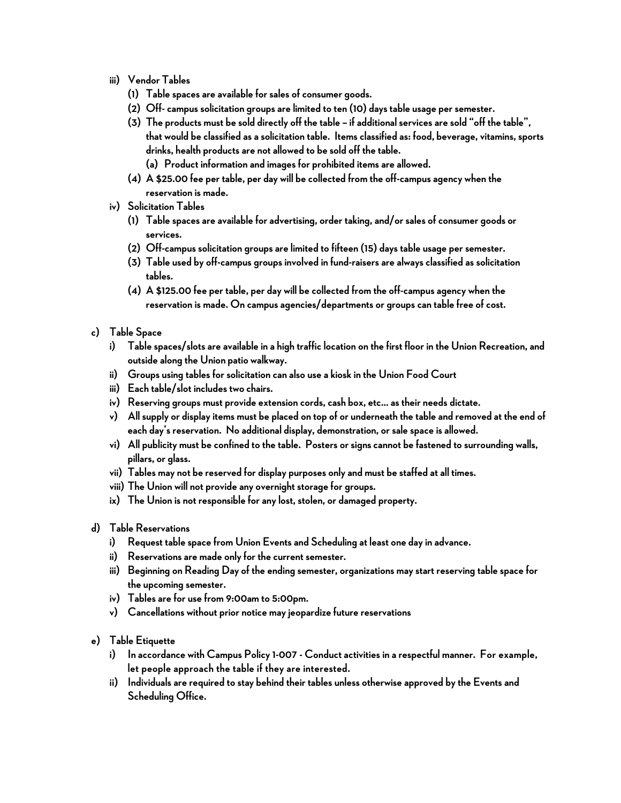- **iii) Vendor Tables**
	- **(1) Table spaces are available for sales of consumer goods.**
	- **(2) Off-campus solicitation groups are limited to ten (10) days table usage per semester.**
	- **(3) The products must be sold directly off the table – if additional services are sold "off the table", that would be classified as a solicitation table. Items classified as: food, beverage, vitamins, sports drinks, health products are not allowed to be sold off the table.** 
		- **(a) Product information and images for prohibited items are allowed.**
	- **(4) A \$25.00 fee per table, per day will be collected from the off-campus agency when the reservation is made.**
- **iv) Solicitation Tables**
	- **(1) Table spaces are available for advertising, order taking, and/or sales of consumer goods or services.**
	- **(2) Off-campus solicitation groups are limited to fifteen (15) days table usage per semester.**
	- **(3) Table used by off-campus groups involved in fund-raisers are always classified as solicitation tables.**
	- **(4) A \$125.00 fee per table, per day will be collected from the off-campus agency when the reservation is made. On campus agencies/departments or groups can table free of cost.**
- **c) Table Space**
	- **i) Table spaces/slots are available in a high trafficlocation on the first floor in the Union Recreation, and outside along the Union patio walkway.**
	- **ii) Groups using tables for solicitation can also use a kiosk in the Union Food Court**
	- **iii) Each table/slot includes two chairs.**
	- **iv) Reserving groups must provide extension cords, cash box, etc… as their needs dictate.**
	- **v) All supply or display items must be placed on top of or underneath the table and removed at the end of each day's reservation. No additional display, demonstration, or sale space is allowed.**
	- **vi) All publicity must be confined to the table. Posters or signs cannot be fastened to surrounding walls, pillars, or glass.**
	- **vii) Tables may not be reserved for display purposes only and must be staffed at all times.**
	- **viii) The Union will not provide any overnight storage for groups.**
	- **ix) The Union is not responsible for any lost, stolen, or damaged property.**
- **d) Table Reservations**
	- **i) Request table space from Union Events and Scheduling at least one day in advance.**
	- **ii) Reservations are made only for the current semester.**
	- **iii) Beginning on Reading Day of the ending semester, organizations may start reserving table space for the upcoming semester.**
	- **iv) Tables are for use from 9:00am to 5:00pm.**
	- **v) Cancellations without prior notice mayjeopardize future reservations**
- **e) Table Etiquette**
	- **i) In accordance with Campus Policy 1-007 - Conduct activities in a respectful manner. For example, let people approach the table if they are interested.**
	- **ii) Individuals are required to stay behind their tables unless otherwise approved by the Events and Scheduling Office.**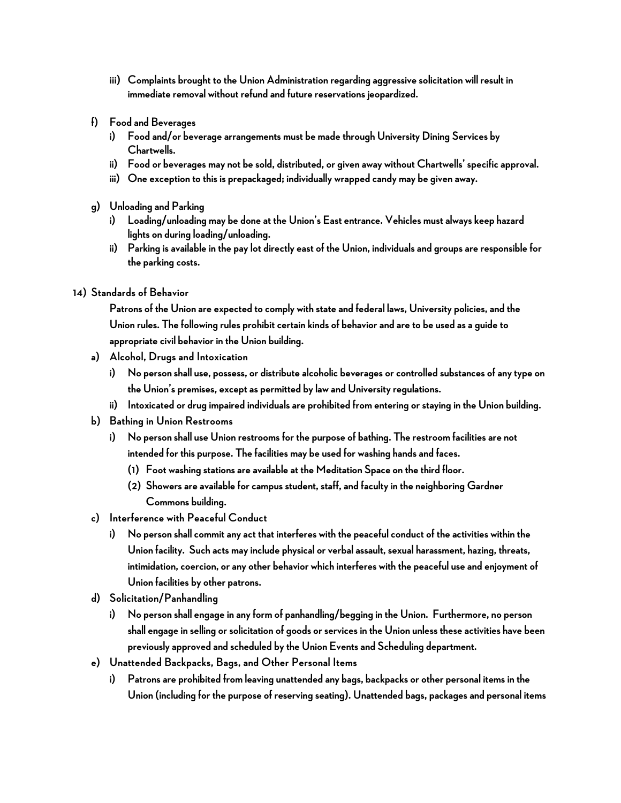- **iii) Complaints brought to the Union Administration regarding aggressive solicitation will result in immediate removal without refund and future reservations jeopardized.**
- **f) Food and Beverages**
	- **i) Food and/or beverage arrangements must be made through University Dining Services by Chartwells.**
	- **ii) Food or beverages may not be sold, distributed, or given away without Chartwells' specific approval.**
	- **iii) One exception to this is prepackaged; individually wrapped candy may be given away.**
- **g) Unloading and Parking**
	- **i) Loading/unloading may be done at the Union's East entrance. Vehicles must always keep hazard lights on during loading/unloading.**
	- **ii) Parking is available in the pay lot directly east of the Union, individuals and groups are responsible for the parking costs.**

#### **14) Standards of Behavior**

**Patrons of the Union are expected to comply with state and federal laws, University policies, and the Union rules. The following rules prohibit certain kinds of behavior and are to be used as a guide to appropriate civil behavior in the Union building.** 

- **a) Alcohol, Drugs and Intoxication**
	- **i) No person shall use, possess, or distribute alcoholic beverages or controlled substances of any type on the Union's premises, except as permitted by law and University regulations.**
	- **ii) Intoxicated or drug impaired individualsare prohibited from entering or staying in the Union building.**
- **b) Bathing in Union Restrooms**
	- **i) No person shall use Union restrooms for the purpose of bathing. The restroom facilities are not intended for this purpose. The facilities may be used for washing hands and faces.**
		- **(1) Foot washing stations are available at the Meditation Space on the third floor.**
		- **(2) Showers are available for campus student, staff, and faculty in the neighboring Gardner Commons building.**
- **c) Interference with Peaceful Conduct** 
	- **i) No person shall commitany act that interferes with the peaceful conduct of the activities within the Union facility. Such acts may include physical or verbal assault, sexual harassment, hazing, threats, intimidation, coercion, or any other behavior which interferes with the peaceful use and enjoyment of Union facilities by other patrons.**
- **d) Solicitation/Panhandling**
	- **i) No person shall engage in any form of panhandling/begging in the Union. Furthermore, no person shall engage in selling or solicitation of goods or services in the Union unless these activities have been previously approved and scheduled by the Union Events and Scheduling department.**
- **e) Unattended Backpacks, Bags, and Other Personal Items**
	- **i) Patrons are prohibited from leaving unattended any bags, backpacks or other personal items in the Union (including for the purpose of reserving seating). Unattended bags, packages and personal items**